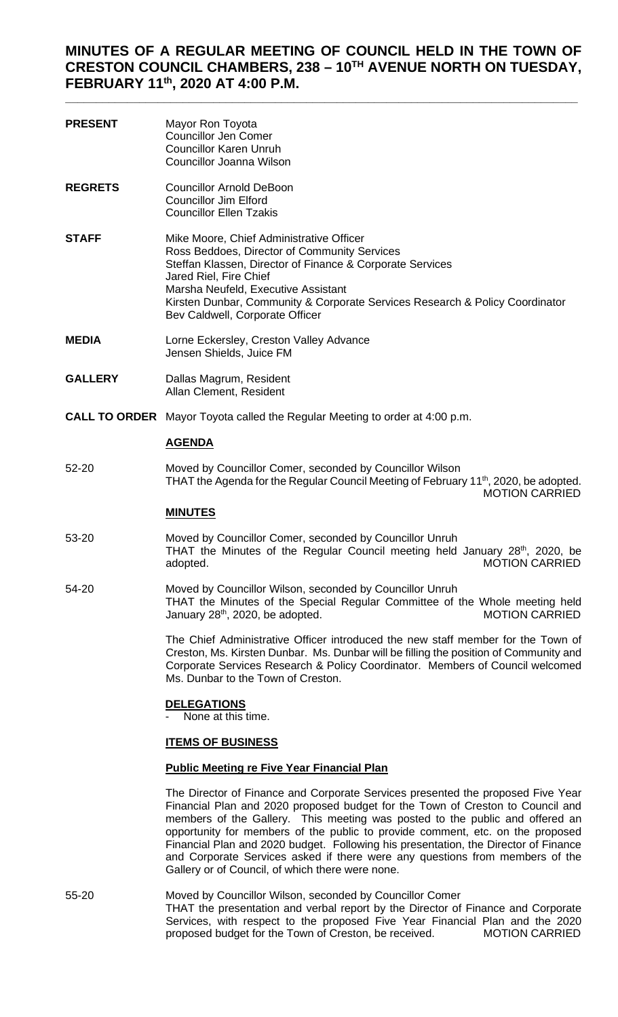# **MINUTES OF A REGULAR MEETING OF COUNCIL HELD IN THE TOWN OF CRESTON COUNCIL CHAMBERS, 238 – 10TH AVENUE NORTH ON TUESDAY, FEBRUARY 11th, 2020 AT 4:00 P.M.**

**\_\_\_\_\_\_\_\_\_\_\_\_\_\_\_\_\_\_\_\_\_\_\_\_\_\_\_\_\_\_\_\_\_\_\_\_\_\_\_\_\_\_\_\_\_\_\_\_\_\_\_\_\_\_\_\_\_\_\_\_\_\_\_\_\_\_\_\_\_\_\_\_\_\_\_\_\_\_\_\_\_\_\_**

| <b>PRESENT</b> | Mayor Ron Toyota<br>Councillor Jen Comer<br>Councillor Karen Unruh<br>Councillor Joanna Wilson                                                                                                                                                                                                                                            |
|----------------|-------------------------------------------------------------------------------------------------------------------------------------------------------------------------------------------------------------------------------------------------------------------------------------------------------------------------------------------|
| <b>REGRETS</b> | Councillor Arnold DeBoon<br>Councillor Jim Elford<br><b>Councillor Ellen Tzakis</b>                                                                                                                                                                                                                                                       |
| STAFF          | Mike Moore, Chief Administrative Officer<br>Ross Beddoes, Director of Community Services<br>Steffan Klassen, Director of Finance & Corporate Services<br>Jared Riel, Fire Chief<br>Marsha Neufeld, Executive Assistant<br>Kirsten Dunbar, Community & Corporate Services Research & Policy Coordinator<br>Bev Caldwell, Corporate Officer |
| MEDIA          | Lorne Eckersley, Creston Valley Advance<br>Jensen Shields, Juice FM                                                                                                                                                                                                                                                                       |

- **GALLERY** Dallas Magrum, Resident Allan Clement, Resident
- **CALL TO ORDER** Mayor Toyota called the Regular Meeting to order at 4:00 p.m.

#### **AGENDA**

52-20 Moved by Councillor Comer, seconded by Councillor Wilson THAT the Agenda for the Regular Council Meeting of February  $11<sup>th</sup>$ , 2020, be adopted. MOTION CARRIED

#### **MINUTES**

- 53-20 Moved by Councillor Comer, seconded by Councillor Unruh THAT the Minutes of the Regular Council meeting held January 28<sup>th</sup>, 2020, be adopted. MOTION CARRIED
- 54-20 Moved by Councillor Wilson, seconded by Councillor Unruh THAT the Minutes of the Special Regular Committee of the Whole meeting held<br>January 28<sup>th</sup>, 2020, be adopted. MOTION CARRIED January  $28<sup>th</sup>$ , 2020, be adopted.

The Chief Administrative Officer introduced the new staff member for the Town of Creston, Ms. Kirsten Dunbar. Ms. Dunbar will be filling the position of Community and Corporate Services Research & Policy Coordinator. Members of Council welcomed Ms. Dunbar to the Town of Creston.

#### **DELEGATIONS**

None at this time.

#### **ITEMS OF BUSINESS**

### **Public Meeting re Five Year Financial Plan**

The Director of Finance and Corporate Services presented the proposed Five Year Financial Plan and 2020 proposed budget for the Town of Creston to Council and members of the Gallery. This meeting was posted to the public and offered an opportunity for members of the public to provide comment, etc. on the proposed Financial Plan and 2020 budget. Following his presentation, the Director of Finance and Corporate Services asked if there were any questions from members of the Gallery or of Council, of which there were none.

55-20 Moved by Councillor Wilson, seconded by Councillor Comer THAT the presentation and verbal report by the Director of Finance and Corporate Services, with respect to the proposed Five Year Financial Plan and the 2020 proposed budget for the Town of Creston, be received. MOTION CARRIED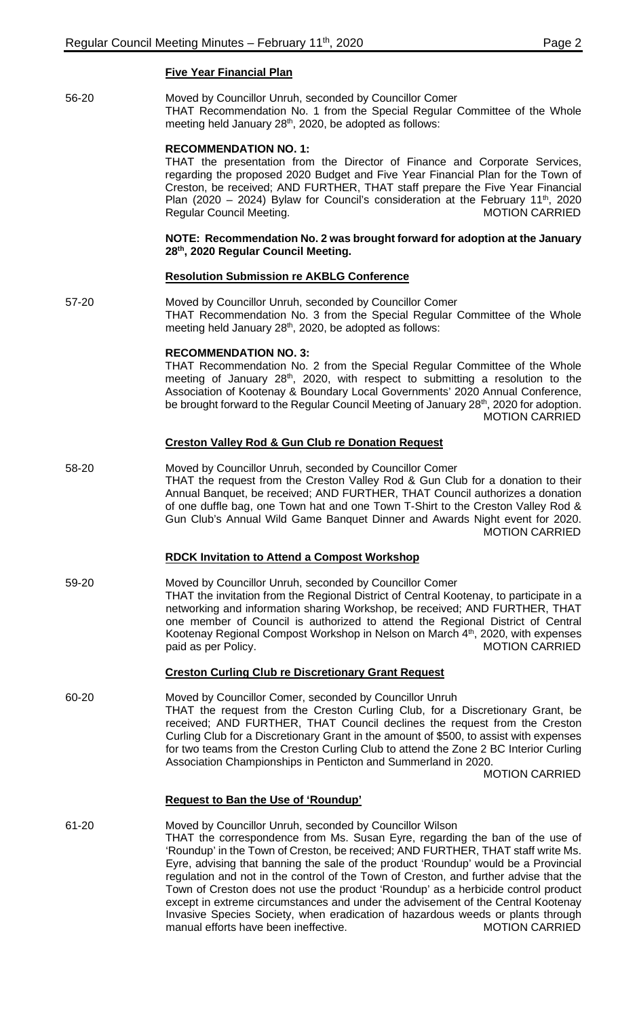### **Five Year Financial Plan**

56-20 Moved by Councillor Unruh, seconded by Councillor Comer THAT Recommendation No. 1 from the Special Regular Committee of the Whole meeting held January 28<sup>th</sup>, 2020, be adopted as follows:

### **RECOMMENDATION NO. 1:**

THAT the presentation from the Director of Finance and Corporate Services, regarding the proposed 2020 Budget and Five Year Financial Plan for the Town of Creston, be received; AND FURTHER, THAT staff prepare the Five Year Financial Plan (2020 – 2024) Bylaw for Council's consideration at the February 11<sup>th</sup>, 2020<br>Regular Council Meeting. MOTION CARRIED Regular Council Meeting.

### **NOTE: Recommendation No. 2 was brought forward for adoption at the January 28th, 2020 Regular Council Meeting.**

### **Resolution Submission re AKBLG Conference**

57-20 Moved by Councillor Unruh, seconded by Councillor Comer THAT Recommendation No. 3 from the Special Regular Committee of the Whole meeting held January 28<sup>th</sup>, 2020, be adopted as follows:

### **RECOMMENDATION NO. 3:**

THAT Recommendation No. 2 from the Special Regular Committee of the Whole meeting of January 28<sup>th</sup>, 2020, with respect to submitting a resolution to the Association of Kootenay & Boundary Local Governments' 2020 Annual Conference, be brought forward to the Regular Council Meeting of January 28<sup>th</sup>, 2020 for adoption. MOTION CARRIED

### **Creston Valley Rod & Gun Club re Donation Request**

58-20 Moved by Councillor Unruh, seconded by Councillor Comer THAT the request from the Creston Valley Rod & Gun Club for a donation to their Annual Banquet, be received; AND FURTHER, THAT Council authorizes a donation of one duffle bag, one Town hat and one Town T-Shirt to the Creston Valley Rod & Gun Club's Annual Wild Game Banquet Dinner and Awards Night event for 2020. MOTION CARRIED

### **RDCK Invitation to Attend a Compost Workshop**

59-20 Moved by Councillor Unruh, seconded by Councillor Comer THAT the invitation from the Regional District of Central Kootenay, to participate in a networking and information sharing Workshop, be received; AND FURTHER, THAT one member of Council is authorized to attend the Regional District of Central Kootenay Regional Compost Workshop in Nelson on March 4<sup>th</sup>, 2020, with expenses paid as per Policy. The contract of the contract of the MOTION CARRIED

### **Creston Curling Club re Discretionary Grant Request**

60-20 Moved by Councillor Comer, seconded by Councillor Unruh THAT the request from the Creston Curling Club, for a Discretionary Grant, be received; AND FURTHER, THAT Council declines the request from the Creston Curling Club for a Discretionary Grant in the amount of \$500, to assist with expenses for two teams from the Creston Curling Club to attend the Zone 2 BC Interior Curling Association Championships in Penticton and Summerland in 2020. MOTION CARRIED

### **Request to Ban the Use of 'Roundup'**

61-20 Moved by Councillor Unruh, seconded by Councillor Wilson THAT the correspondence from Ms. Susan Eyre, regarding the ban of the use of 'Roundup' in the Town of Creston, be received; AND FURTHER, THAT staff write Ms. Eyre, advising that banning the sale of the product 'Roundup' would be a Provincial regulation and not in the control of the Town of Creston, and further advise that the Town of Creston does not use the product 'Roundup' as a herbicide control product except in extreme circumstances and under the advisement of the Central Kootenay Invasive Species Society, when eradication of hazardous weeds or plants through manual efforts have been ineffective. MOTION CARRIED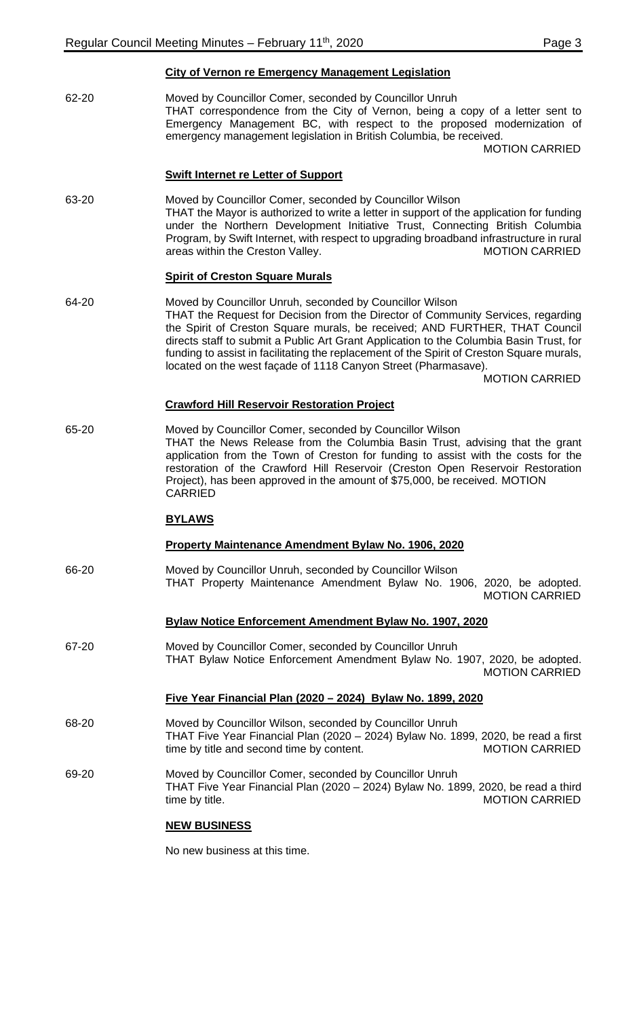62-20 Moved by Councillor Comer, seconded by Councillor Unruh THAT correspondence from the City of Vernon, being a copy of a letter sent to Emergency Management BC, with respect to the proposed modernization of emergency management legislation in British Columbia, be received.

MOTION CARRIED

## **Swift Internet re Letter of Support**

63-20 Moved by Councillor Comer, seconded by Councillor Wilson THAT the Mayor is authorized to write a letter in support of the application for funding under the Northern Development Initiative Trust, Connecting British Columbia Program, by Swift Internet, with respect to upgrading broadband infrastructure in rural areas within the Creston Valley. The Creston Valley areas within the Creston Valley.

### **Spirit of Creston Square Murals**

64-20 Moved by Councillor Unruh, seconded by Councillor Wilson THAT the Request for Decision from the Director of Community Services, regarding the Spirit of Creston Square murals, be received; AND FURTHER, THAT Council directs staff to submit a Public Art Grant Application to the Columbia Basin Trust, for funding to assist in facilitating the replacement of the Spirit of Creston Square murals, located on the west façade of 1118 Canyon Street (Pharmasave).

MOTION CARRIED

### **Crawford Hill Reservoir Restoration Project**

65-20 Moved by Councillor Comer, seconded by Councillor Wilson THAT the News Release from the Columbia Basin Trust, advising that the grant application from the Town of Creston for funding to assist with the costs for the restoration of the Crawford Hill Reservoir (Creston Open Reservoir Restoration Project), has been approved in the amount of \$75,000, be received. MOTION CARRIED

### **BYLAWS**

### **Property Maintenance Amendment Bylaw No. 1906, 2020**

66-20 Moved by Councillor Unruh, seconded by Councillor Wilson THAT Property Maintenance Amendment Bylaw No. 1906, 2020, be adopted. MOTION CARRIED

### **Bylaw Notice Enforcement Amendment Bylaw No. 1907, 2020**

67-20 Moved by Councillor Comer, seconded by Councillor Unruh THAT Bylaw Notice Enforcement Amendment Bylaw No. 1907, 2020, be adopted. MOTION CARRIED

### **Five Year Financial Plan (2020 – 2024) Bylaw No. 1899, 2020**

- 68-20 Moved by Councillor Wilson, seconded by Councillor Unruh THAT Five Year Financial Plan (2020 – 2024) Bylaw No. 1899, 2020, be read a first time by title and second time by content. MOTION CARRIED
- 69-20 Moved by Councillor Comer, seconded by Councillor Unruh THAT Five Year Financial Plan (2020 – 2024) Bylaw No. 1899, 2020, be read a third time by title. The state of the state of the MOTION CARRIED

### **NEW BUSINESS**

No new business at this time.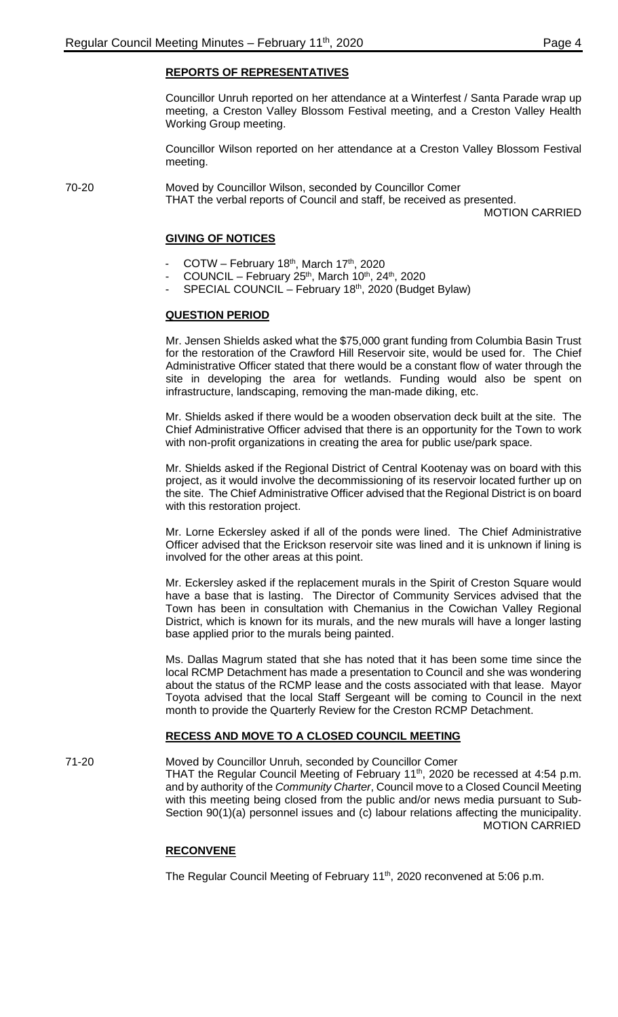## **REPORTS OF REPRESENTATIVES**

Councillor Unruh reported on her attendance at a Winterfest / Santa Parade wrap up meeting, a Creston Valley Blossom Festival meeting, and a Creston Valley Health Working Group meeting.

Councillor Wilson reported on her attendance at a Creston Valley Blossom Festival meeting.

70-20 Moved by Councillor Wilson, seconded by Councillor Comer THAT the verbal reports of Council and staff, be received as presented.

MOTION CARRIED

## **GIVING OF NOTICES**

- COTW February 18<sup>th</sup>, March 17<sup>th</sup>, 2020
- COUNCIL February 25<sup>th</sup>, March 10<sup>th</sup>, 24<sup>th</sup>, 2020
- SPECIAL COUNCIL February 18<sup>th</sup>, 2020 (Budget Bylaw)

### **QUESTION PERIOD**

Mr. Jensen Shields asked what the \$75,000 grant funding from Columbia Basin Trust for the restoration of the Crawford Hill Reservoir site, would be used for. The Chief Administrative Officer stated that there would be a constant flow of water through the site in developing the area for wetlands. Funding would also be spent on infrastructure, landscaping, removing the man-made diking, etc.

Mr. Shields asked if there would be a wooden observation deck built at the site. The Chief Administrative Officer advised that there is an opportunity for the Town to work with non-profit organizations in creating the area for public use/park space.

Mr. Shields asked if the Regional District of Central Kootenay was on board with this project, as it would involve the decommissioning of its reservoir located further up on the site. The Chief Administrative Officer advised that the Regional District is on board with this restoration project.

Mr. Lorne Eckersley asked if all of the ponds were lined. The Chief Administrative Officer advised that the Erickson reservoir site was lined and it is unknown if lining is involved for the other areas at this point.

Mr. Eckersley asked if the replacement murals in the Spirit of Creston Square would have a base that is lasting. The Director of Community Services advised that the Town has been in consultation with Chemanius in the Cowichan Valley Regional District, which is known for its murals, and the new murals will have a longer lasting base applied prior to the murals being painted.

Ms. Dallas Magrum stated that she has noted that it has been some time since the local RCMP Detachment has made a presentation to Council and she was wondering about the status of the RCMP lease and the costs associated with that lease. Mayor Toyota advised that the local Staff Sergeant will be coming to Council in the next month to provide the Quarterly Review for the Creston RCMP Detachment.

### **RECESS AND MOVE TO A CLOSED COUNCIL MEETING**

71-20 Moved by Councillor Unruh, seconded by Councillor Comer

THAT the Regular Council Meeting of February 11<sup>th</sup>, 2020 be recessed at 4:54 p.m. and by authority of the *Community Charter*, Council move to a Closed Council Meeting with this meeting being closed from the public and/or news media pursuant to Sub-Section 90(1)(a) personnel issues and (c) labour relations affecting the municipality. MOTION CARRIED

### **RECONVENE**

The Regular Council Meeting of February 11<sup>th</sup>, 2020 reconvened at 5:06 p.m.